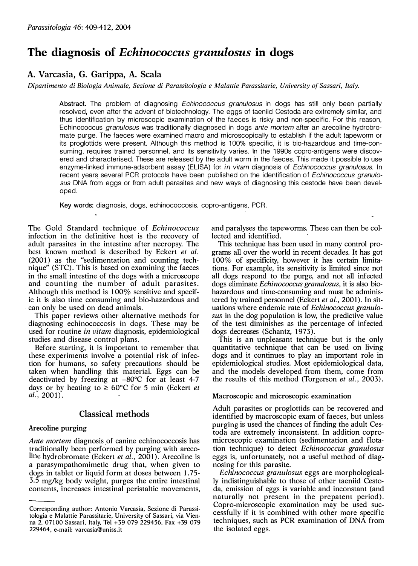# The diagnosis of Echinococcus granulosus in dogs

# A. Varcasia, G. Garippa, A. Scala

Dipartimento di Biologia Animale, Sezione di Parassitologia e Malattie Parassitarie, University of Sassari, Italy.

Abstract. The problem of diagnosing *Echinococcus granulosus* in dogs has still only been partially resolved, even after the advent of biotechnology. The eggs of taeniid Cestoda are extremely similar, and thus identification by microscopic examination of the faeces is risky and non-specific. For this reason, Echinococcus granulosus was traditionally diagnosed in dogs ante mortem after an arecoline hydrobromate purge. The faeces were examined macro and microscopically to establish if the adult tapeworm or its proglottids were present. Although this method is 1 00% specific, it is bio-hazardous and time-consuming, requires trained personnel, and its sensitivity varies. In the 1990s copro-antigens were discovered and characterised. These are released by the adult worm in the faeces. This made it possible to use enzyme-linked immune-adsorbent assay (ELISA) for in vitam diagnosis of Echinococcus granulosus. In recent years several PCR protocols have been published on the identification of *Echinococcus granulo*sus DNA from eggs or from adult parasites and new ways of diagnosing this cestode have been developed.

Key words: diagnosis, dogs, echinococcosis, copro-antigens, PCR.

The Gold Standard technique of Echinococcus infection in the definitive host is the recovery of adult parasites in the intestine after necropsy. The best known method is described by Eckert *et al.* (2001) as the "sedimentation and counting technique" (STC). This is based on examining the faeces in the small intestine of the dogs with a microscope and counting the number of adult parasites. Although this method is 1 00% sensitive and specific it is also time consuming and bio-hazardous and can only be used on dead animals.

This paper reviews other alternative methods for diagnosing echinococcosis in dogs. These may be used for routine in vitam diagnosis, epidemiological studies and disease control plans.

Before starting, it is important to remember that these experiments involve a potential risk of infection for humans, so safety precautions should be taken when handling this material. Eggs can be deactivated by freezing at -80°C for at least 4-7 days or by heating to  $\geq 60^{\circ}$ C for 5 min (Eckert et al.,  $2001$ ).

## Classical methods

## Arecoline purging

Ante mortem diagnosis of canine echinococcosis has traditionally been performed by purging with arecoline hydrobromate (Eckert et al., 2001). Arecoline is a parasympathomimetic drug that, when given to dogs in tablet or liquid form at doses between 1 .75- 3.5 mg/kg body weight, purges the entire intestinal contents, increases intestinal peristaltic movements, and paralyses the tapeworms. These can then be collected and identified.

This technique has been used in many control programs alI over the world in recent decades. It has got 1 00% of specificity, however it has certain limitations. For example, its sensitivity is limited since not all dogs respond to the purge, and not all infected dogs eliminate Echinococcus granulosus, it is also biohazardous and time-consuming and must be administered by trained personnel (Eckert et al., 2001). In situations where endemie rate of Echinococcus granulosus in the dog population is low, the predictive value of the test diminishes as the percentage of infected dogs decreases (Schantz, 1973).

This is an unpleasant technique but is the only quantitative technique that can be used on living dogs and it continues to play an important role in epidemiological studies. Most epidemiological data, and the models developed from them, come from the results of this method (Torgerson et al., 2003).

## Macroscopic and microscopic examination

Adult parasites or proglottids. can be recovered and identified by macroscopic exam of faeces, but unless purging is used the chances of finding the adult Cestoda are extremely inconsistent. In addition copromicroscopic examination (sedimentation and flotation teehnique) to detect Echinococcus granulosus eggs is, unfortunately, not a useful method of diagnosing for this parasite.

Echinococcus granulosus eggs are morphologically indistinguishable to those of other taeniid Cestoda, emission of eggs is variable and inconstant (and naturally not present in the prepatent period). Copro-microscopic examination may be used successfulIy if it is combined with other more specific techniques, such as PCR examination of DNA from the isolated eggs.

Corresponding author: Antonio Varcasia, Sezione di Parassitologia e Malattie Parassitarie, University of Sassari, via Vienna 2, 07100 Sassari, Italy, Tel +39 079 229456, Fax +39 079 229464, e-mail: varcasia@uniss.it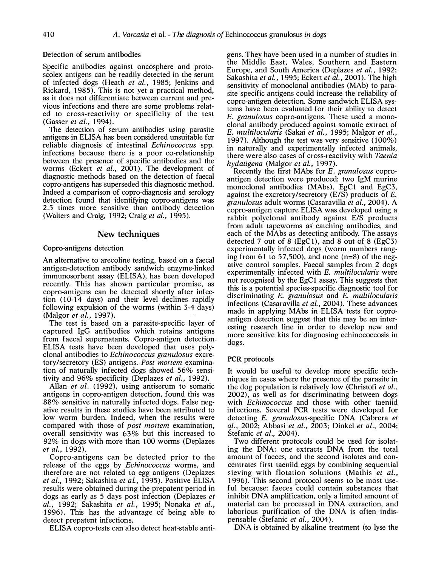#### Detection of serum antibodies

Specific antibodies against oncosphere and protoscolex antigens can be readily detected in the serum of infected dogs (Heath *et al.*, 1985; Jenkins and Rickard, 1 985). This is not yet a practical method, as it does not differentiate between current and previous infections and there are some problems related to cross-reactivity or specificity of the test (Gasser et al., 1994).

The detection of serum antibodies using parasite antigens in ELISA has been considered unsuitable for reliable diagnosis of intestinal Echinococcus spp. infections because there is a poor co-relationship between the presence of specific antibodies and the worms (Eckert et al., 2001). The development of diagnostic methods based on the detection of faecal copro-antigens has superseded this diagnostic method. Indeed a comparison of copro-diagnosis and serology detection found that identifying copro-antigens was 2.5 times more sensitive than antibody detection (Walters and Craig, 1992; Craig et al., 1995).

## New techniques

### Copro-antigens detection

An alternative to arecoline testing, based on a faecal antigen-detection antibody sandwich enzyme-linked immunosorbent assay (ELISA), has been developed recently. This has shown particular promise, as copro-antigens can be detected shortly after infection (10-14 days) and their level declines rapidly following expulsion of the worrns (within 3-4 days) (Malgor et al., 1997).

The test is based on a parasite-specific layer of captured IgG antibodies which retains antigens from faecal supernatants. Copro-antigen detection . ELISA tests have been developed that uses polyclonal antibodies to Echinococcus granulosus excretory/secretory (ES) antigens. Post mortem examination of naturally infected dogs showed 56% sensitivity and  $96\%$  specificity (Deplazes *et al.*, 1992).

Allan et al. (1992), using antiserum to somatic antigens in copro-antigen detection, found this was 88% sensitive in naturally infected dogs. False negative results in these studies have been attributed to low worrn burden. Indeed, when the results were compared with those of post mortem examination, overall sensitivity was 63% but this increased to 92% in dogs with more than 100 worms (Deplazes et al., 1992).

Copro-antigens can be detected prior to the release of the eggs by Echinococcus worms, and therefore are not related to egg antigens (Deplazes et al., 1992; Sakashita et al., 1995). Positive ELISA results were obtained during the prepatent period in dogs as early as 5 days post infection (Deplazes et al., 1992; Sakashita et al., 1995; Nonaka et al., 1 996). This has the advantage of being able to detect prepatent infections.

ELISA copro-tests can also detect heat-stable anti-

gens. They have been used in a number of studies in the Middle East, Wales, Southern and Eastern Europe, and South America (Deplazes et al., 1992; Sakashita et al., 1995; Eckert et al., 2001). The high sensitivity of monoclonal antibodies (MAb) to parasite specific antigens could increase the reliability of copro-antigen detection. Some sandwich ELISA systems have been evaluated for their ability to detect E. granulosus copro-antigens. These used a monoclonaI antibody produced against somatic extract of E. multilocularis (Sakai et al., 1995; Malgor et al., 1997). Although the test was very sensitive  $(100\%)$ in naturally and experimentally infected animals, there were also cases of cross-reactivity with Taenia hydatigena (Malgor et al., 1997).

Recently the first MAbs for E. granulosus coproantigen detection were produced: two IgM murine monoclonal antibodies (MAbs), EgC1 and EgC3, against the excretory/secretory (E/S) products of E. granulosus adult worrns (Casaravilla et al., 2004). A copro-antigen capture ELISA was developed using a rabbit polyclonal antibody against E/S products from adult tapeworrns as catching antibodies, and each of the MAbs as detecting antibody. The assays detected 7 out of 8 (EgC1), and 8 out of 8 (EgC3) experimentally infected dogs (worm numbers ranging from 61 to 57,500), and none  $(n=8)$  of the negative control samples. Faecal samples from 2 dogs experimentally infected with E. multilocularis were not recognised by the EgC1 assay. This suggests that this is a potential species-specific diagnostic tool for discriminating E. granulosus and E. multilocularis infections (Casaravilla et al., 2004). These advances made in applying MAbs in ELISA tests for coproantigen detection suggest that this may be an interesting research line in order to develop new and more sensitive kits for diagnosing echinococcosis in dogs.

#### PCR protocols

It would be useful to develop more specific techniques in cases where the presence of the parasite in the dog population is relatively low (Christofi et al., 2002), as well as for discriminating between dogs with Echinococcus and those with other taeniid infections. Several PCR tests were developed for detecting E. granulosus-specific DNA (Cabrera et al., 2002; Abbasi et al., 2003; Dinkel et al., 2004; Stefanic et al., 2004).

Two different protocols could be used for isolating the DNA: one extracts DNA from the total amount of faeces, and the second isolates and concentrates first taeniid eggs by combining sequential sieving with flotation solutions (Mathis *et al.*, 1 996). This second protocol seems to be most usefuI because: faeces could contain substances that inhibit DNA amplification, only a limited amount of material can be processed in DNA extraction, and laborious purification of the DNA is often indispensable (Štefanic et al., 2004).

DNA is obtained by alkaline treatment (to lyse the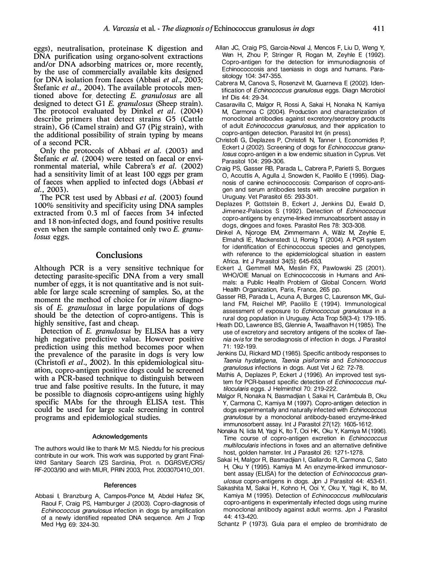eggs) , neutralisation, proteinase K digestion and DNA purification using organo-solvent extractions and/or DNA adsorbing matrices or, more recently, by the use of commercialIy available kits designed for DNA isolation from faeces (Abbasi et al., 2003; Stefanic *et al.*, 2004). The available protocols mentioned above for detecting E. granulosus are alI designed to detect G1 E. granulosus (Sheep strain). The protocol evaluated by Dinkel et al. (2004) describe primers that detect strains G5 (Cattle strain), G6 (Camel strain) and G7 (Pig strain), with the additional possibility of strain typing by means of a second PCR.

Only the protocols of Abbasi et al. (2003) and Stefanic *et al.* (2004) were tested on faecal or environmental material, while Cabrera's et al. (2002) had a sensitivity limit of at least 100 eggs per gram of faeces when applied to infected dogs (Abbasi et  $al., 2003).$ 

The PCR test used by Abbasi *et al.* (2003) found 1 00% sensitivity and specificity using DNA samples extracted from 0.3 mI of faeces from 34 infected and 18 non-infected dogs, and found positive results even when the sample contained only two E. granulosus eggs.

## Conclusions

Although PCR is a very sensitive technique for detecting parasite-specific DNA from a very small number of eggs, it is not quantitative and is not suitable for large scale screening of samples. So, at the moment the method of choice for *in vitam* diagnosis of E. granulosus in large populations of dogs should be the detection of copro-antigens. This is highly sensitive, fast and cheap.

Detection of E. granulosus by ELISA has a very high negative predictive value. However positive prediction using this method becomes poor when the prevalence of the parasite in dogs is very low (Christofi *et al.*, 2002). In this epidemiological situation, copro-antigen positive dogs could be screened with a PCR-based technique to distinguish between true and false positive results. In the future, it may be possible to diagnosis copro-antigens using highly specific MAbs for the through ELISA test. This could be used for large scale screening in control programs and epidemiological studies.

#### Acknowledgements

The authors would like to thank Mr M.S. Nieddu for his precious contribute in our work. This work was supported by grant Finalized Sanitary Search IZS Sardinia, Prot. n. DGRSVE/CRS/ RF-2003/90 and with MIUR, PRIN 2003, Prot. 2003070410\_001.

#### References

Abbasi I, Branzburg A, Campos-Ponce M, Abdel Hafez SK, Raoul F, Craig PS, Hamburger J (2003). Copro-diagnosis of Echinococcus granulosus infection in dogs by amplification of a newly identified repeated DNA sequence. Am J Trop Med Hyg 69: 324-30.

- Allan JC, Craig PS, Garcia-Noval J, Mencos F, Liu D, Weng V, Wen H, Zhou P, Stringer R, Rogan M, Zeyhle E (1992). Copro-antigen for the detection for immunodiagnosis of Echinococcosis and taeniasis in dogs and humans. Parasitology 104: 347-355.
- Cabrera M, Canova S, Rosenzvit M, Guarneva E (2002). Identification of Echinococcus granulosus eggs. Diagn Microbiol Inf Dis 44: 29-34.
- Casaravilla C, Malgor R, Rossi A, Sakai H, Nonaka N, Kamiya M, Carmona C (2004). Production and characterization of monoclonal antibodies against excretory/secretory products of adult Echinococcus granulosus, and their application to copro-antigen detection. Parasitol Int (in press).
- Christofi G, Deplazes P, Christofi N, Tanner I, Economides P, Eckert J (2002). Screening of dogs for Echinococcus granulosus copro-antigen in a low endemic situation in Cyprus. Vet Parasitol 104: 299-306.
- Craig PS, Gasser RB, Parada L, Cabrera P, Parietti S, Borgues O, Accuttis A, Agulla J, Snowden K, Paolillo E (1995). Diagnosis of canine echinococcosis: Comparison of copro-antigen and serum antibodies tests with arecoline purgation in Uruguay. Vet Parasitol 65: 293-301.
- Deplazes P, Gottstein B, Eckert J, Jenkins DJ, Ewald D, Jimenez-Palacios S (1992). Detection of Echinococcus copro-antigens by enzyme-linked immunoabsorbent assay in dogs, dingoes and foxes. Parasitol Res 78: 303-308.
- Dinkel A, Njoroge EM, Zimmermann A, Walz M, Zeyhle E, Elmahdi lE, Mackenstedt U, Romig T (2004). A PCR system for identification of Echinococcus species and genotypes, with reference to the epidemiological situation in eastern Africa. Int J Parasitol 34(5): 645-653.
- Eckert J, Gemmell MA, Meslin FX, Pawlowski ZS (2001). WHO/OIE Manual on Echinococcosis in Humans and Animals: a Public Health Problem of Global Concern. World Health Organization, Paris, France, 265 pp.
- Gasser RB, Parada L, Acuna A, Burges C, Laurenson MK, Gulland FM, Reichel MP, Paolillo E (1994). Immunological assessment of exposure to Echinococcus granulosus in a rural dog population in Uruguay. Acta Trop 58(3-4): 179-185.
- Heath DD, Lawrence BS, Glennie A, Twaalfhavon H (1985). The use of excretory and secretory antigens of the scolex of Taenia ovis for the serodiagnosis of infection in dogs. J Parasitol 71: 192-199.
- Jenkins DJ, Rickard MD (1985). Specific antibody responses to Taenia hydatigena, Taenia pisiformis and Echinococcus granulosus infections in dogs. Aust Vet J 62: 72-78.
- Mathis A, Deplazes P, Eckert J (1996). An improved test system for PCR-based specific detection of Echinococcus multilocularis eggs. J Helminthol 70: 219-222.
- Malgor R, Nonaka N, Basmadjian I, Sakai H, Carambula B, Oku V, Carmona C, Kamiya M (1997). Copro-antigen detection in dogs experimentally and naturally infected with Echinococcus granulosus by a monoclonal antibody-based enzyme-linked immunosorbent assay. Int J Parasitol 27(12): 1605-1612.
- Nonaka N, lida M, Yagi K, Ito T, Ooi HK, Oku Y, Kamiya M (1996). Time course of copro-antigen excretion in Echinococcus multilocularis infections in foxes and an alternative definitive host, golden hamster. Int J Parasitol 26: 1271-1278.
- Sakai H, Malgor R, Basmadjian I, Gallardo R, Carmona C, Sato H, Oku Y (1995). Kamiya M. An enzyme-linked immunosorbent assay (ELISA) for the detection of Echinococcus granulosus copro-antigens in dogs. Jpn J Parasitol 44: 453-61.
- Sakashita M, Sakai H, Kohno H, Ooi V, Oku V, Vagì K, Ito M, Kamiya M (1995). Detection of Echinococcus multilocularis copro-antigens in experimentally infected dogs using murine monoclonal antibody against adult worms. Jpn J Parasitol 44: 4 13-420.

Schantz P (1973). Guia para el empleo de bromhidrato de